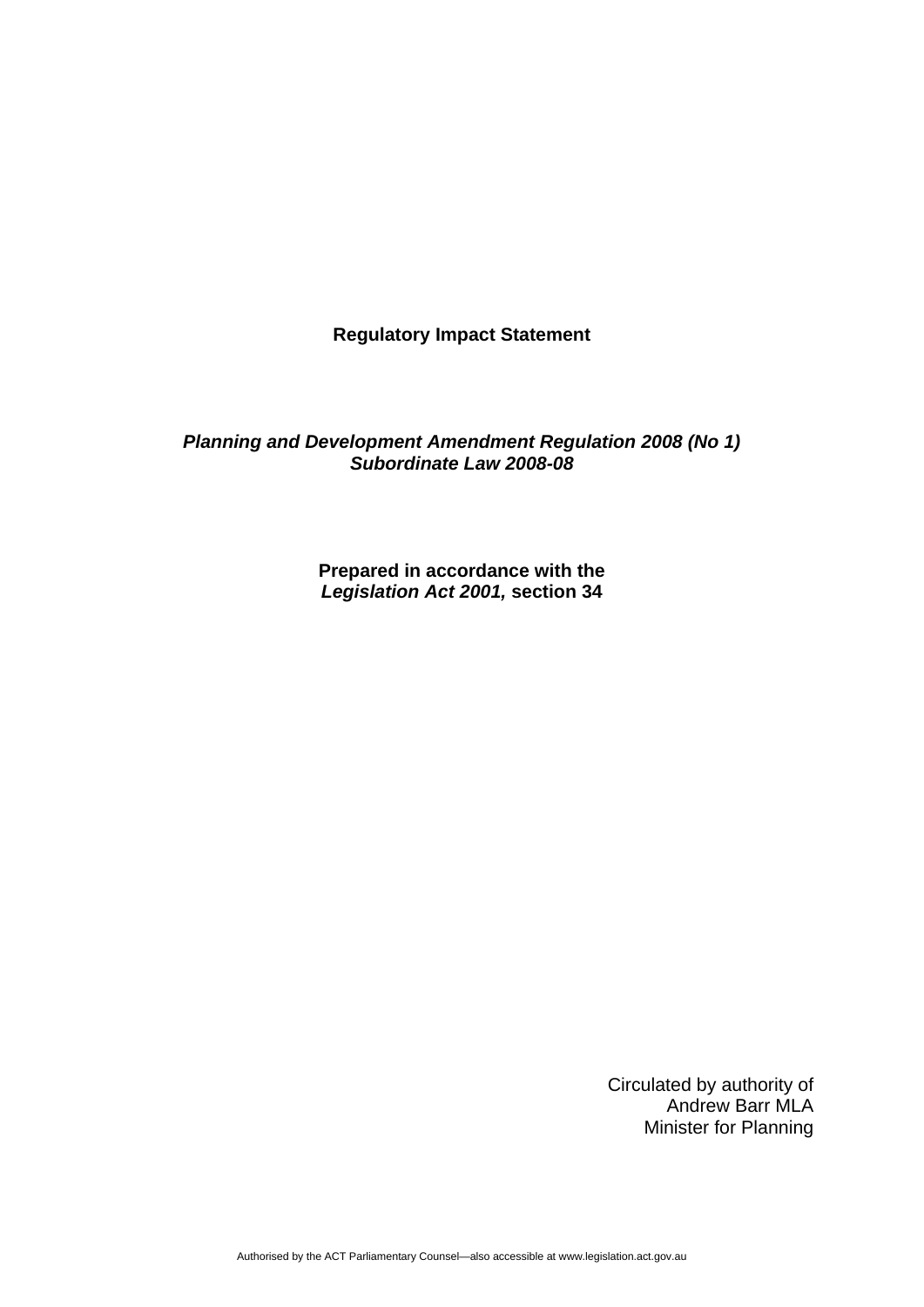**Regulatory Impact Statement** 

*Planning and Development Amendment Regulation 2008 (No 1) Subordinate Law 2008-08* 

> **Prepared in accordance with the**  *Legislation Act 2001,* **section 34**

> > Circulated by authority of Andrew Barr MLA Minister for Planning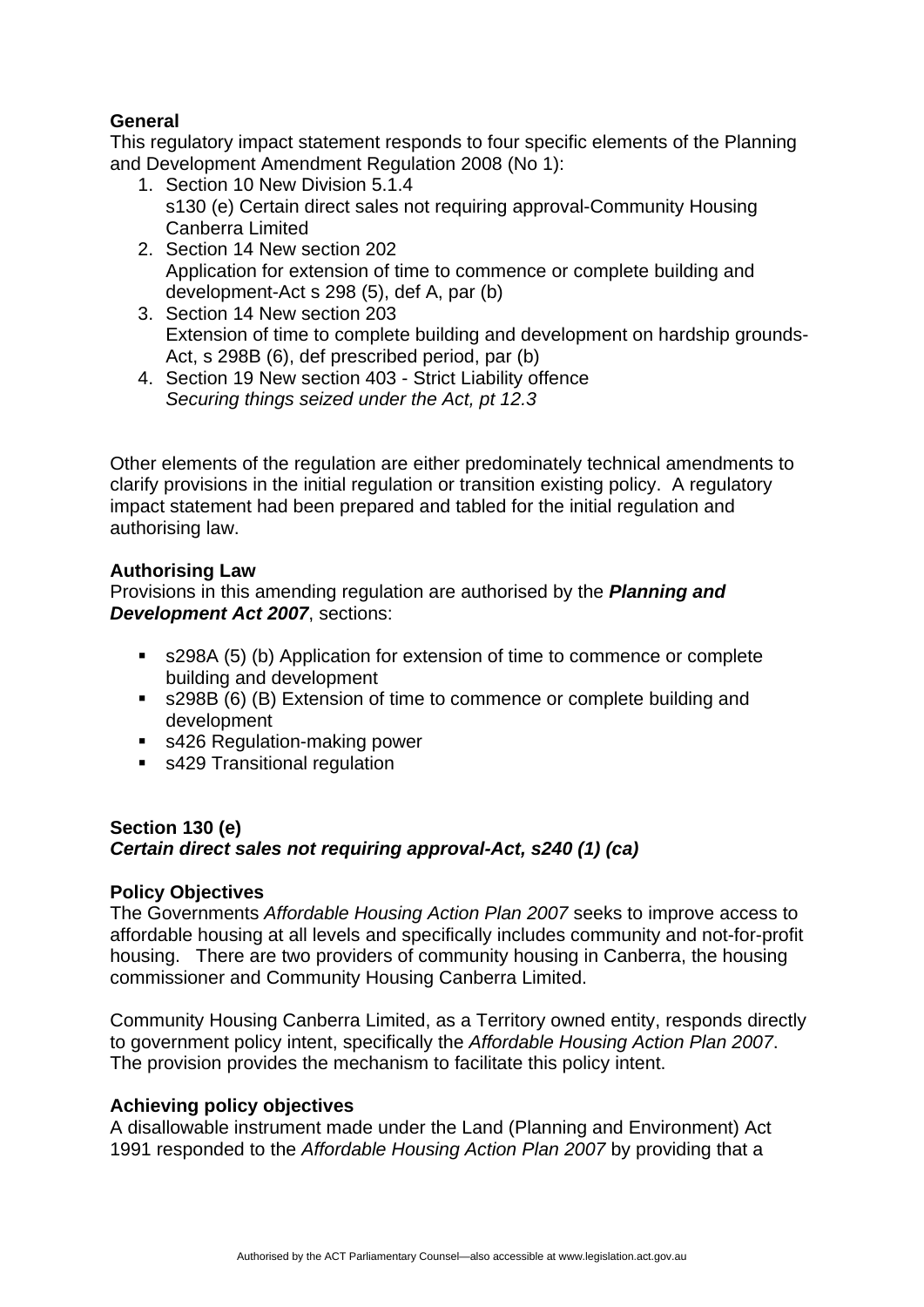# **General**

This regulatory impact statement responds to four specific elements of the Planning and Development Amendment Regulation 2008 (No 1):

- 1. Section 10 New Division 5.1.4 s130 (e) Certain direct sales not requiring approval-Community Housing Canberra Limited
- 2. Section 14 New section 202 Application for extension of time to commence or complete building and development-Act s 298 (5), def A, par (b)
- 3. Section 14 New section 203 Extension of time to complete building and development on hardship grounds-Act, s 298B (6), def prescribed period, par (b)
- 4. Section 19 New section 403 Strict Liability offence *Securing things seized under the Act, pt 12.3*

Other elements of the regulation are either predominately technical amendments to clarify provisions in the initial regulation or transition existing policy. A regulatory impact statement had been prepared and tabled for the initial regulation and authorising law.

# **Authorising Law**

Provisions in this amending regulation are authorised by the *Planning and Development Act 2007*, sections:

- s298A (5) (b) Application for extension of time to commence or complete building and development
- s298B (6) (B) Extension of time to commence or complete building and development
- s426 Regulation-making power
- s429 Transitional regulation

# **Section 130 (e)**  *Certain direct sales not requiring approval-Act, s240 (1) (ca)*

## **Policy Objectives**

The Governments *Affordable Housing Action Plan 2007* seeks to improve access to affordable housing at all levels and specifically includes community and not-for-profit housing. There are two providers of community housing in Canberra, the housing commissioner and Community Housing Canberra Limited.

Community Housing Canberra Limited, as a Territory owned entity, responds directly to government policy intent, specifically the *Affordable Housing Action Plan 2007*. The provision provides the mechanism to facilitate this policy intent.

# **Achieving policy objectives**

A disallowable instrument made under the Land (Planning and Environment) Act 1991 responded to the *Affordable Housing Action Plan 2007* by providing that a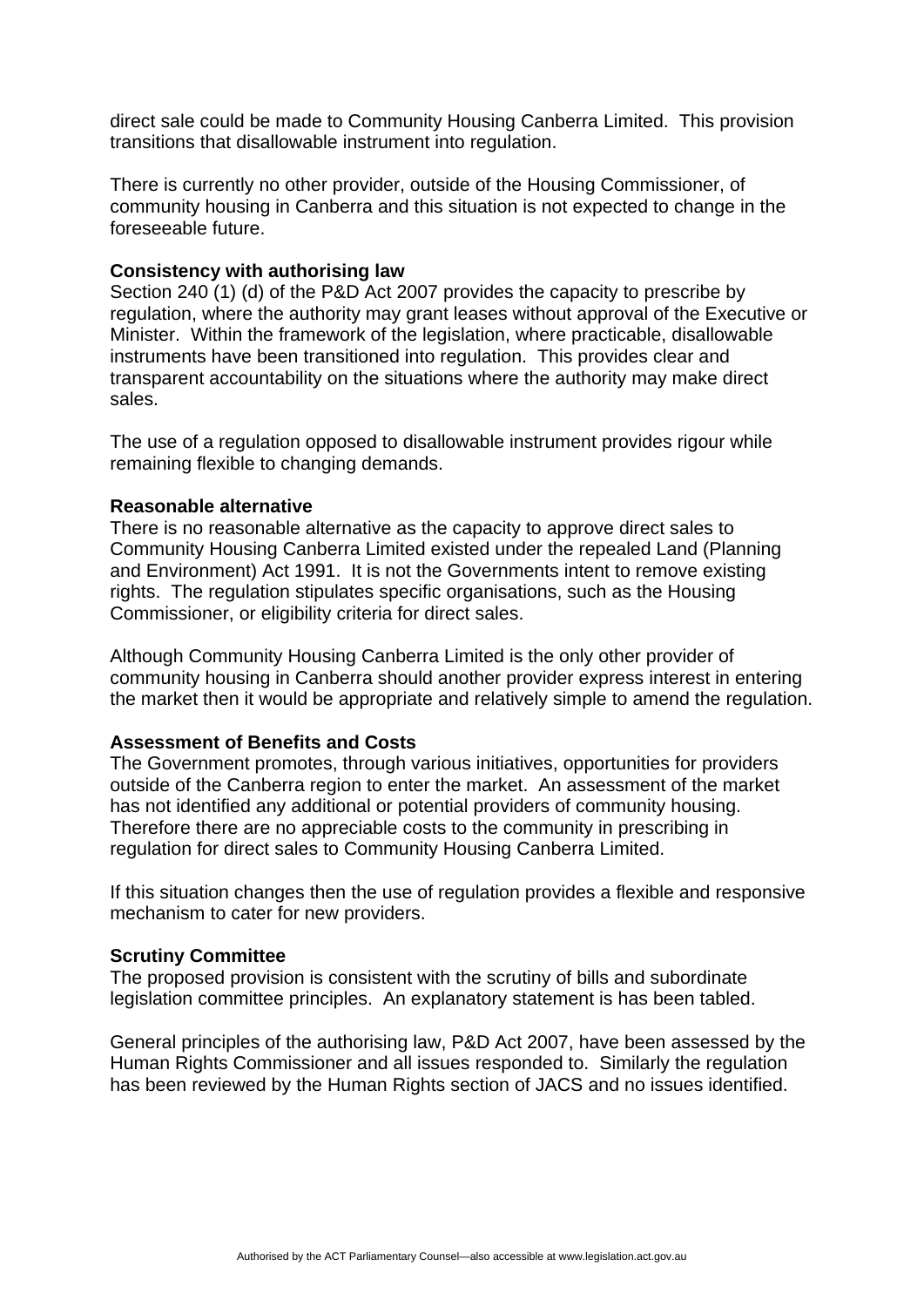direct sale could be made to Community Housing Canberra Limited. This provision transitions that disallowable instrument into regulation.

There is currently no other provider, outside of the Housing Commissioner, of community housing in Canberra and this situation is not expected to change in the foreseeable future.

### **Consistency with authorising law**

Section 240 (1) (d) of the P&D Act 2007 provides the capacity to prescribe by regulation, where the authority may grant leases without approval of the Executive or Minister. Within the framework of the legislation, where practicable, disallowable instruments have been transitioned into regulation. This provides clear and transparent accountability on the situations where the authority may make direct sales.

The use of a regulation opposed to disallowable instrument provides rigour while remaining flexible to changing demands.

### **Reasonable alternative**

There is no reasonable alternative as the capacity to approve direct sales to Community Housing Canberra Limited existed under the repealed Land (Planning and Environment) Act 1991. It is not the Governments intent to remove existing rights. The regulation stipulates specific organisations, such as the Housing Commissioner, or eligibility criteria for direct sales.

Although Community Housing Canberra Limited is the only other provider of community housing in Canberra should another provider express interest in entering the market then it would be appropriate and relatively simple to amend the regulation.

## **Assessment of Benefits and Costs**

The Government promotes, through various initiatives, opportunities for providers outside of the Canberra region to enter the market. An assessment of the market has not identified any additional or potential providers of community housing. Therefore there are no appreciable costs to the community in prescribing in regulation for direct sales to Community Housing Canberra Limited.

If this situation changes then the use of regulation provides a flexible and responsive mechanism to cater for new providers.

#### **Scrutiny Committee**

The proposed provision is consistent with the scrutiny of bills and subordinate legislation committee principles. An explanatory statement is has been tabled.

General principles of the authorising law, P&D Act 2007, have been assessed by the Human Rights Commissioner and all issues responded to. Similarly the regulation has been reviewed by the Human Rights section of JACS and no issues identified.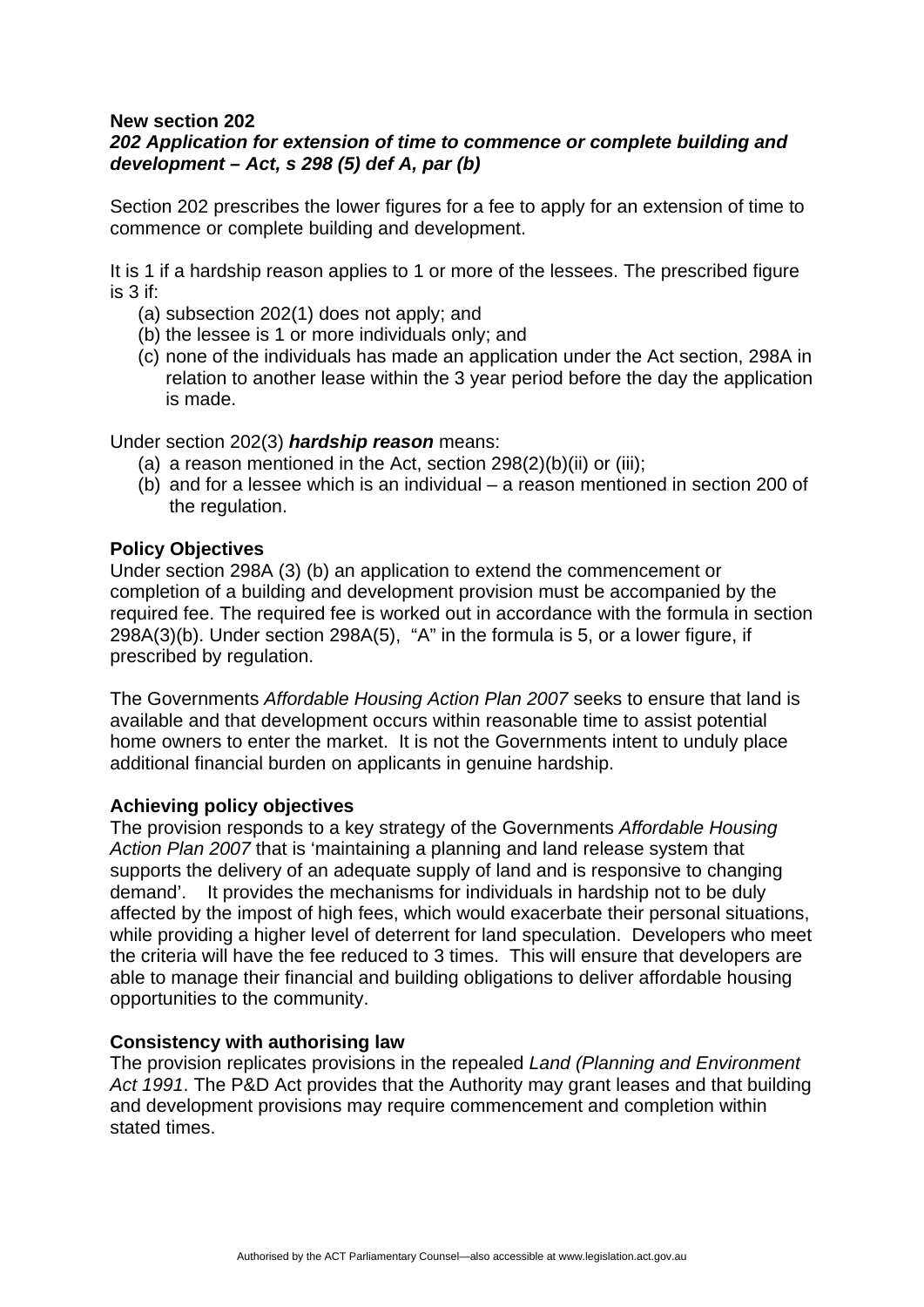# **New section 202**

# *202 Application for extension of time to commence or complete building and development – Act, s 298 (5) def A, par (b)*

Section 202 prescribes the lower figures for a fee to apply for an extension of time to commence or complete building and development.

It is 1 if a hardship reason applies to 1 or more of the lessees. The prescribed figure is 3 if:

- (a) subsection 202(1) does not apply; and
- (b) the lessee is 1 or more individuals only; and
- (c) none of the individuals has made an application under the Act section, 298A in relation to another lease within the 3 year period before the day the application is made.

Under section 202(3) *hardship reason* means:

- (a) a reason mentioned in the Act, section  $298(2)(b)(ii)$  or (iii);
- (b) and for a lessee which is an individual a reason mentioned in section 200 of the regulation.

### **Policy Objectives**

Under section 298A (3) (b) an application to extend the commencement or completion of a building and development provision must be accompanied by the required fee. The required fee is worked out in accordance with the formula in section 298A(3)(b). Under section 298A(5), "A" in the formula is 5, or a lower figure, if prescribed by regulation.

The Governments *Affordable Housing Action Plan 2007* seeks to ensure that land is available and that development occurs within reasonable time to assist potential home owners to enter the market. It is not the Governments intent to unduly place additional financial burden on applicants in genuine hardship.

## **Achieving policy objectives**

The provision responds to a key strategy of the Governments *Affordable Housing Action Plan 2007* that is 'maintaining a planning and land release system that supports the delivery of an adequate supply of land and is responsive to changing demand'. It provides the mechanisms for individuals in hardship not to be duly affected by the impost of high fees, which would exacerbate their personal situations, while providing a higher level of deterrent for land speculation. Developers who meet the criteria will have the fee reduced to 3 times. This will ensure that developers are able to manage their financial and building obligations to deliver affordable housing opportunities to the community.

#### **Consistency with authorising law**

The provision replicates provisions in the repealed *Land (Planning and Environment Act 1991*. The P&D Act provides that the Authority may grant leases and that building and development provisions may require commencement and completion within stated times.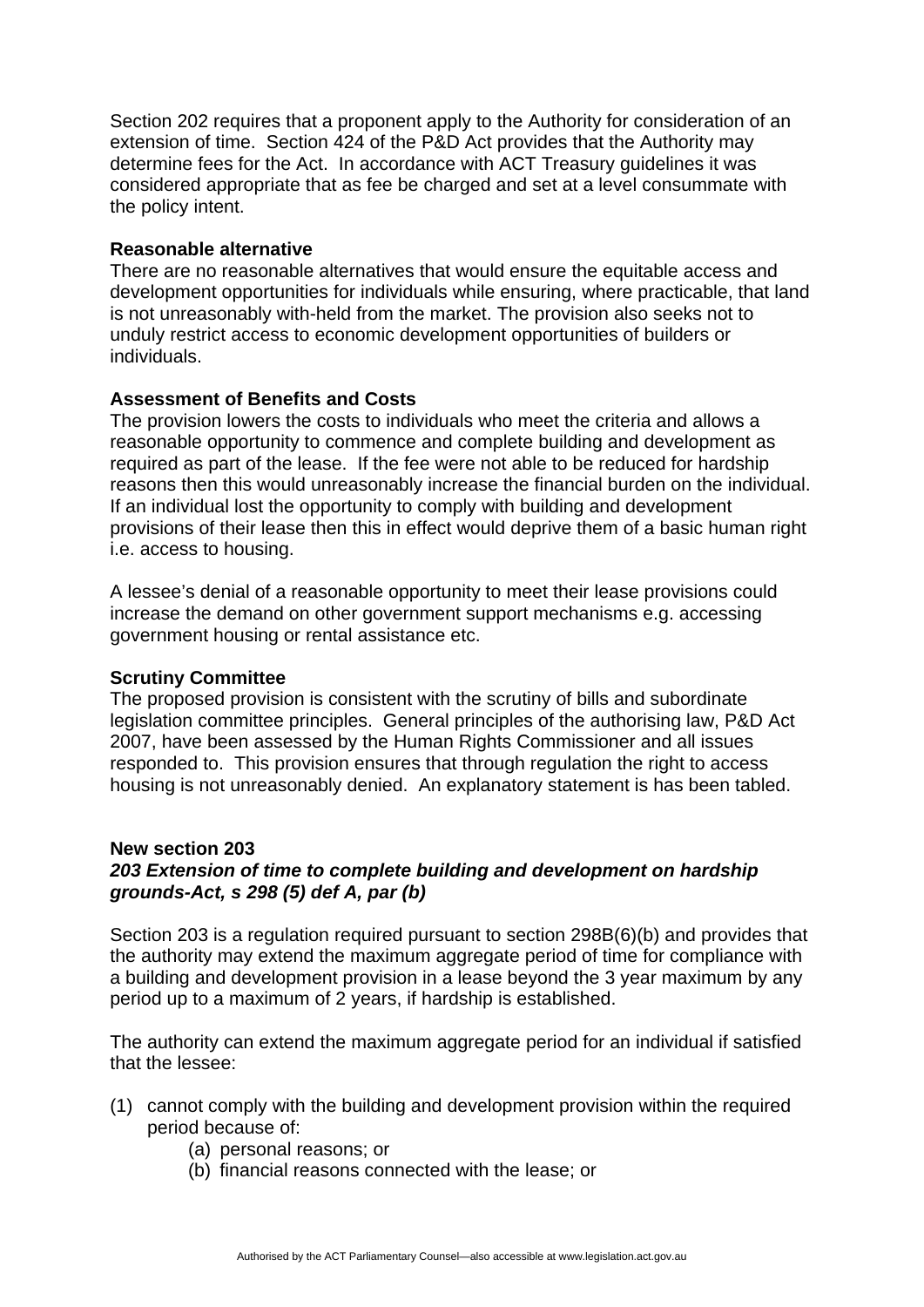Section 202 requires that a proponent apply to the Authority for consideration of an extension of time. Section 424 of the P&D Act provides that the Authority may determine fees for the Act. In accordance with ACT Treasury guidelines it was considered appropriate that as fee be charged and set at a level consummate with the policy intent.

### **Reasonable alternative**

There are no reasonable alternatives that would ensure the equitable access and development opportunities for individuals while ensuring, where practicable, that land is not unreasonably with-held from the market. The provision also seeks not to unduly restrict access to economic development opportunities of builders or individuals.

## **Assessment of Benefits and Costs**

The provision lowers the costs to individuals who meet the criteria and allows a reasonable opportunity to commence and complete building and development as required as part of the lease. If the fee were not able to be reduced for hardship reasons then this would unreasonably increase the financial burden on the individual. If an individual lost the opportunity to comply with building and development provisions of their lease then this in effect would deprive them of a basic human right i.e. access to housing.

A lessee's denial of a reasonable opportunity to meet their lease provisions could increase the demand on other government support mechanisms e.g. accessing government housing or rental assistance etc.

#### **Scrutiny Committee**

The proposed provision is consistent with the scrutiny of bills and subordinate legislation committee principles. General principles of the authorising law, P&D Act 2007, have been assessed by the Human Rights Commissioner and all issues responded to. This provision ensures that through regulation the right to access housing is not unreasonably denied. An explanatory statement is has been tabled.

#### **New section 203**

# *203 Extension of time to complete building and development on hardship grounds-Act, s 298 (5) def A, par (b)*

Section 203 is a regulation required pursuant to section 298B(6)(b) and provides that the authority may extend the maximum aggregate period of time for compliance with a building and development provision in a lease beyond the 3 year maximum by any period up to a maximum of 2 years, if hardship is established.

The authority can extend the maximum aggregate period for an individual if satisfied that the lessee:

- (1) cannot comply with the building and development provision within the required period because of:
	- (a) personal reasons; or
	- (b) financial reasons connected with the lease; or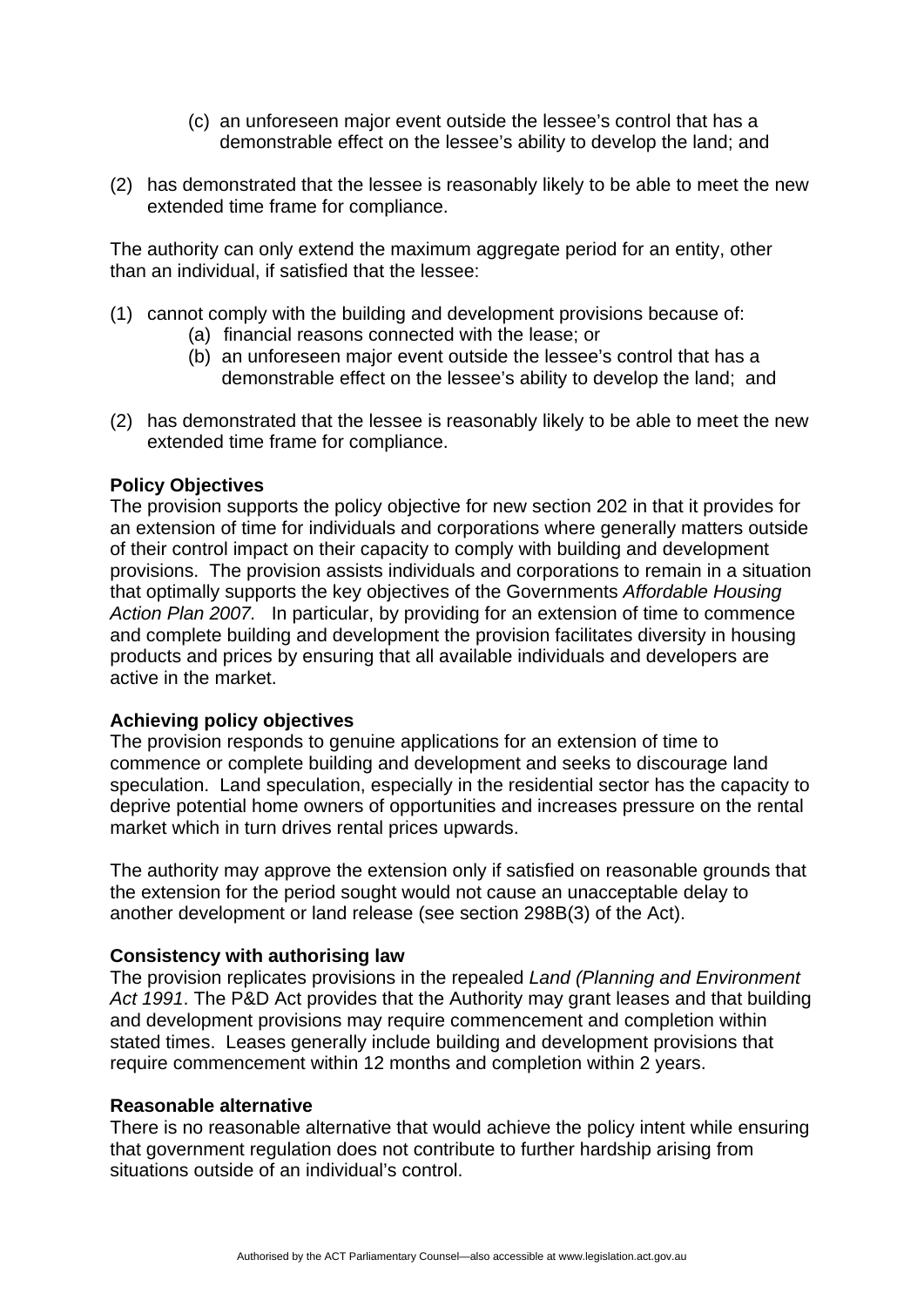- (c) an unforeseen major event outside the lessee's control that has a demonstrable effect on the lessee's ability to develop the land; and
- (2) has demonstrated that the lessee is reasonably likely to be able to meet the new extended time frame for compliance.

The authority can only extend the maximum aggregate period for an entity, other than an individual, if satisfied that the lessee:

- (1) cannot comply with the building and development provisions because of:
	- (a) financial reasons connected with the lease; or
	- (b) an unforeseen major event outside the lessee's control that has a demonstrable effect on the lessee's ability to develop the land; and
- (2) has demonstrated that the lessee is reasonably likely to be able to meet the new extended time frame for compliance.

### **Policy Objectives**

The provision supports the policy objective for new section 202 in that it provides for an extension of time for individuals and corporations where generally matters outside of their control impact on their capacity to comply with building and development provisions. The provision assists individuals and corporations to remain in a situation that optimally supports the key objectives of the Governments *Affordable Housing Action Plan 2007.* In particular, by providing for an extension of time to commence and complete building and development the provision facilitates diversity in housing products and prices by ensuring that all available individuals and developers are active in the market.

#### **Achieving policy objectives**

The provision responds to genuine applications for an extension of time to commence or complete building and development and seeks to discourage land speculation. Land speculation, especially in the residential sector has the capacity to deprive potential home owners of opportunities and increases pressure on the rental market which in turn drives rental prices upwards.

The authority may approve the extension only if satisfied on reasonable grounds that the extension for the period sought would not cause an unacceptable delay to another development or land release (see section 298B(3) of the Act).

## **Consistency with authorising law**

The provision replicates provisions in the repealed *Land (Planning and Environment Act 1991*. The P&D Act provides that the Authority may grant leases and that building and development provisions may require commencement and completion within stated times. Leases generally include building and development provisions that require commencement within 12 months and completion within 2 years.

#### **Reasonable alternative**

There is no reasonable alternative that would achieve the policy intent while ensuring that government regulation does not contribute to further hardship arising from situations outside of an individual's control.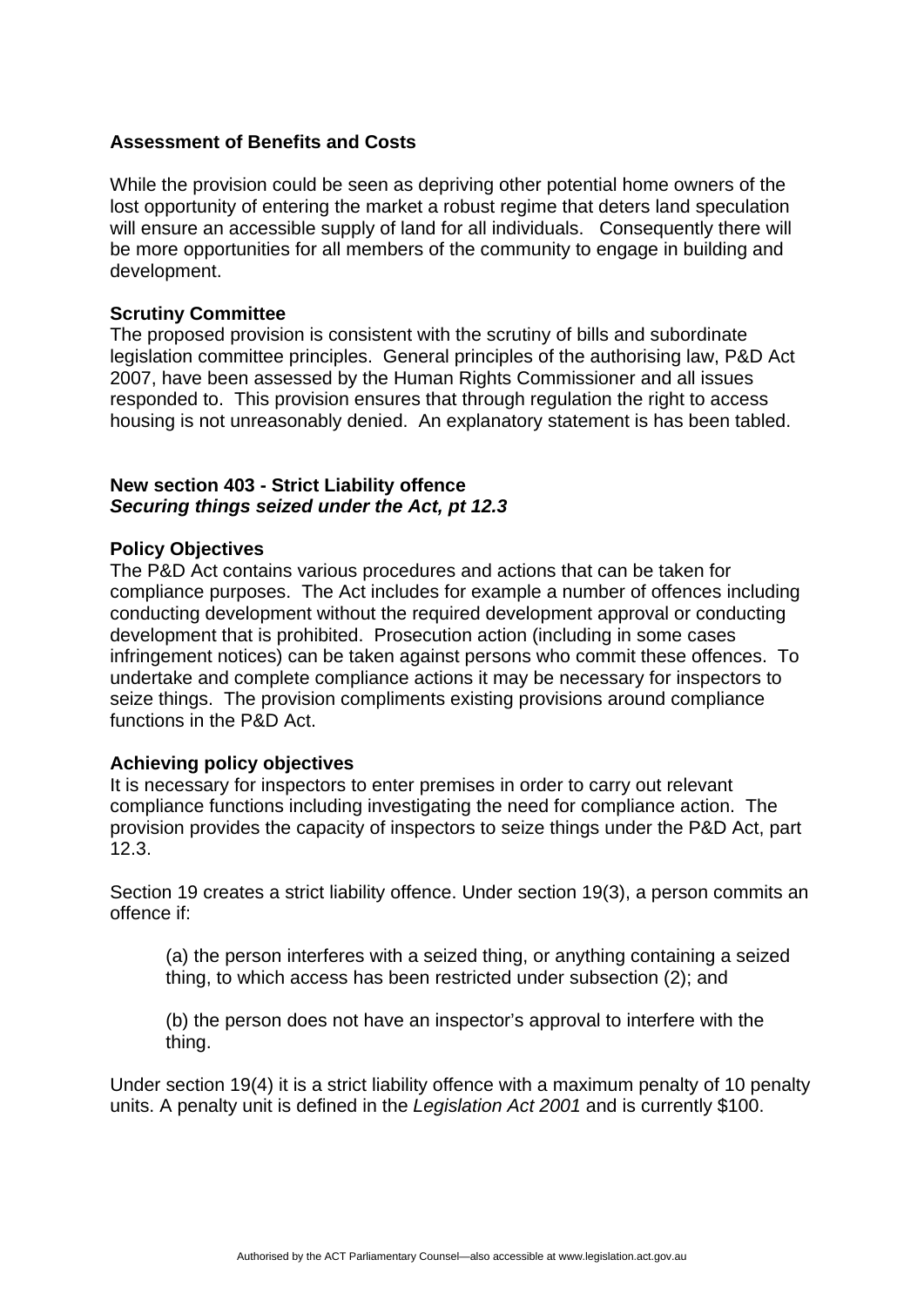## **Assessment of Benefits and Costs**

While the provision could be seen as depriving other potential home owners of the lost opportunity of entering the market a robust regime that deters land speculation will ensure an accessible supply of land for all individuals. Consequently there will be more opportunities for all members of the community to engage in building and development.

#### **Scrutiny Committee**

The proposed provision is consistent with the scrutiny of bills and subordinate legislation committee principles. General principles of the authorising law, P&D Act 2007, have been assessed by the Human Rights Commissioner and all issues responded to. This provision ensures that through regulation the right to access housing is not unreasonably denied. An explanatory statement is has been tabled.

### **New section 403 - Strict Liability offence**  *Securing things seized under the Act, pt 12.3*

#### **Policy Objectives**

The P&D Act contains various procedures and actions that can be taken for compliance purposes. The Act includes for example a number of offences including conducting development without the required development approval or conducting development that is prohibited. Prosecution action (including in some cases infringement notices) can be taken against persons who commit these offences. To undertake and complete compliance actions it may be necessary for inspectors to seize things. The provision compliments existing provisions around compliance functions in the P&D Act.

#### **Achieving policy objectives**

It is necessary for inspectors to enter premises in order to carry out relevant compliance functions including investigating the need for compliance action. The provision provides the capacity of inspectors to seize things under the P&D Act, part 12.3.

Section 19 creates a strict liability offence. Under section 19(3), a person commits an offence if:

(a) the person interferes with a seized thing, or anything containing a seized thing, to which access has been restricted under subsection (2); and

(b) the person does not have an inspector's approval to interfere with the thing.

Under section 19(4) it is a strict liability offence with a maximum penalty of 10 penalty units. A penalty unit is defined in the *Legislation Act 2001* and is currently \$100.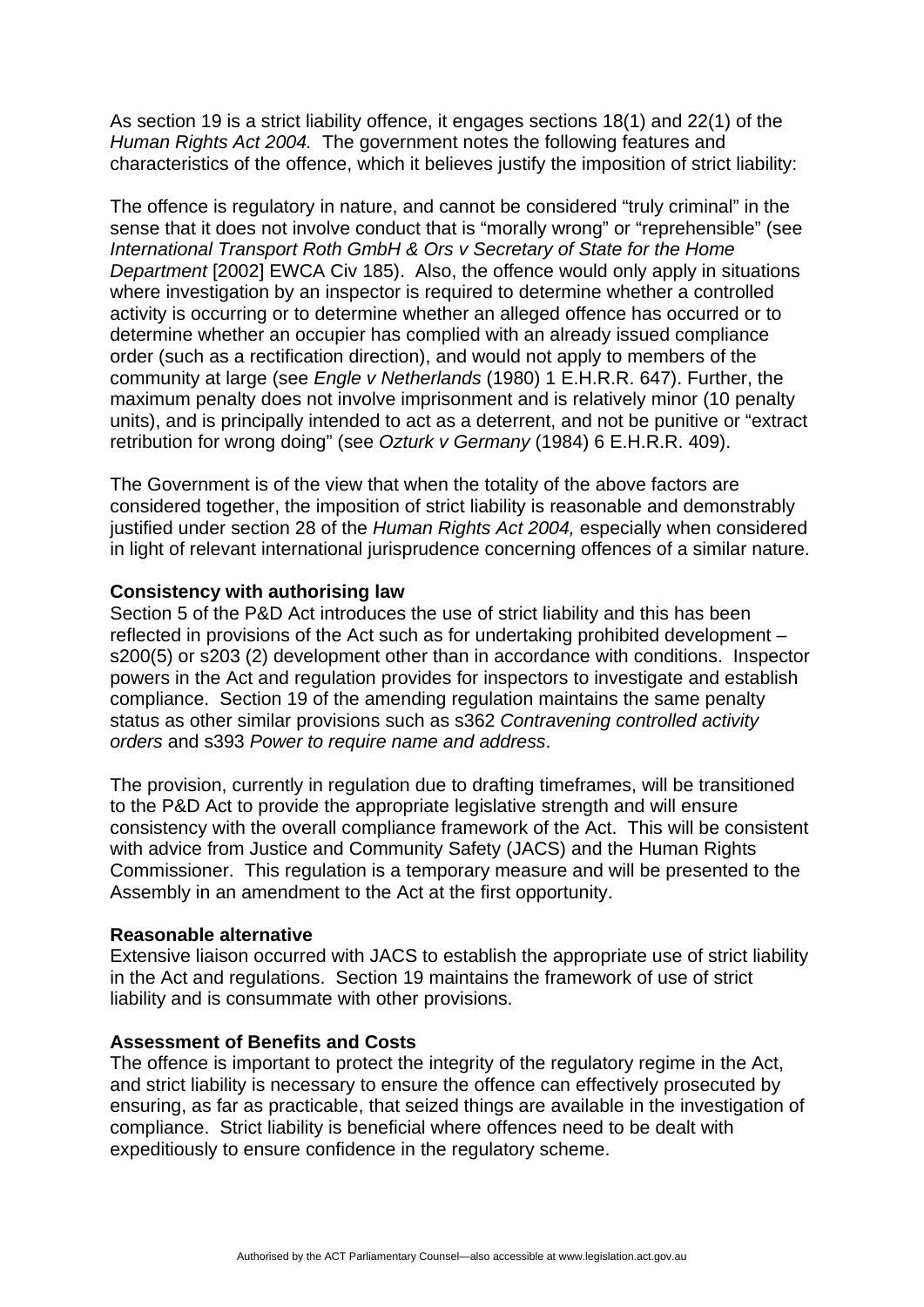As section 19 is a strict liability offence, it engages sections 18(1) and 22(1) of the *Human Rights Act 2004.* The government notes the following features and characteristics of the offence, which it believes justify the imposition of strict liability:

The offence is regulatory in nature, and cannot be considered "truly criminal" in the sense that it does not involve conduct that is "morally wrong" or "reprehensible" (see *International Transport Roth GmbH & Ors v Secretary of State for the Home Department* [2002] EWCA Civ 185). Also, the offence would only apply in situations where investigation by an inspector is required to determine whether a controlled activity is occurring or to determine whether an alleged offence has occurred or to determine whether an occupier has complied with an already issued compliance order (such as a rectification direction), and would not apply to members of the community at large (see *Engle v Netherlands* (1980) 1 E.H.R.R. 647). Further, the maximum penalty does not involve imprisonment and is relatively minor (10 penalty units), and is principally intended to act as a deterrent, and not be punitive or "extract retribution for wrong doing" (see *Ozturk v Germany* (1984) 6 E.H.R.R. 409).

The Government is of the view that when the totality of the above factors are considered together, the imposition of strict liability is reasonable and demonstrably justified under section 28 of the *Human Rights Act 2004,* especially when considered in light of relevant international jurisprudence concerning offences of a similar nature.

## **Consistency with authorising law**

Section 5 of the P&D Act introduces the use of strict liability and this has been reflected in provisions of the Act such as for undertaking prohibited development – s200(5) or s203 (2) development other than in accordance with conditions. Inspector powers in the Act and regulation provides for inspectors to investigate and establish compliance. Section 19 of the amending regulation maintains the same penalty status as other similar provisions such as s362 *Contravening controlled activity orders* and s393 *Power to require name and address*.

The provision, currently in regulation due to drafting timeframes, will be transitioned to the P&D Act to provide the appropriate legislative strength and will ensure consistency with the overall compliance framework of the Act. This will be consistent with advice from Justice and Community Safety (JACS) and the Human Rights Commissioner. This regulation is a temporary measure and will be presented to the Assembly in an amendment to the Act at the first opportunity.

#### **Reasonable alternative**

Extensive liaison occurred with JACS to establish the appropriate use of strict liability in the Act and regulations. Section 19 maintains the framework of use of strict liability and is consummate with other provisions.

#### **Assessment of Benefits and Costs**

The offence is important to protect the integrity of the regulatory regime in the Act, and strict liability is necessary to ensure the offence can effectively prosecuted by ensuring, as far as practicable, that seized things are available in the investigation of compliance. Strict liability is beneficial where offences need to be dealt with expeditiously to ensure confidence in the regulatory scheme.